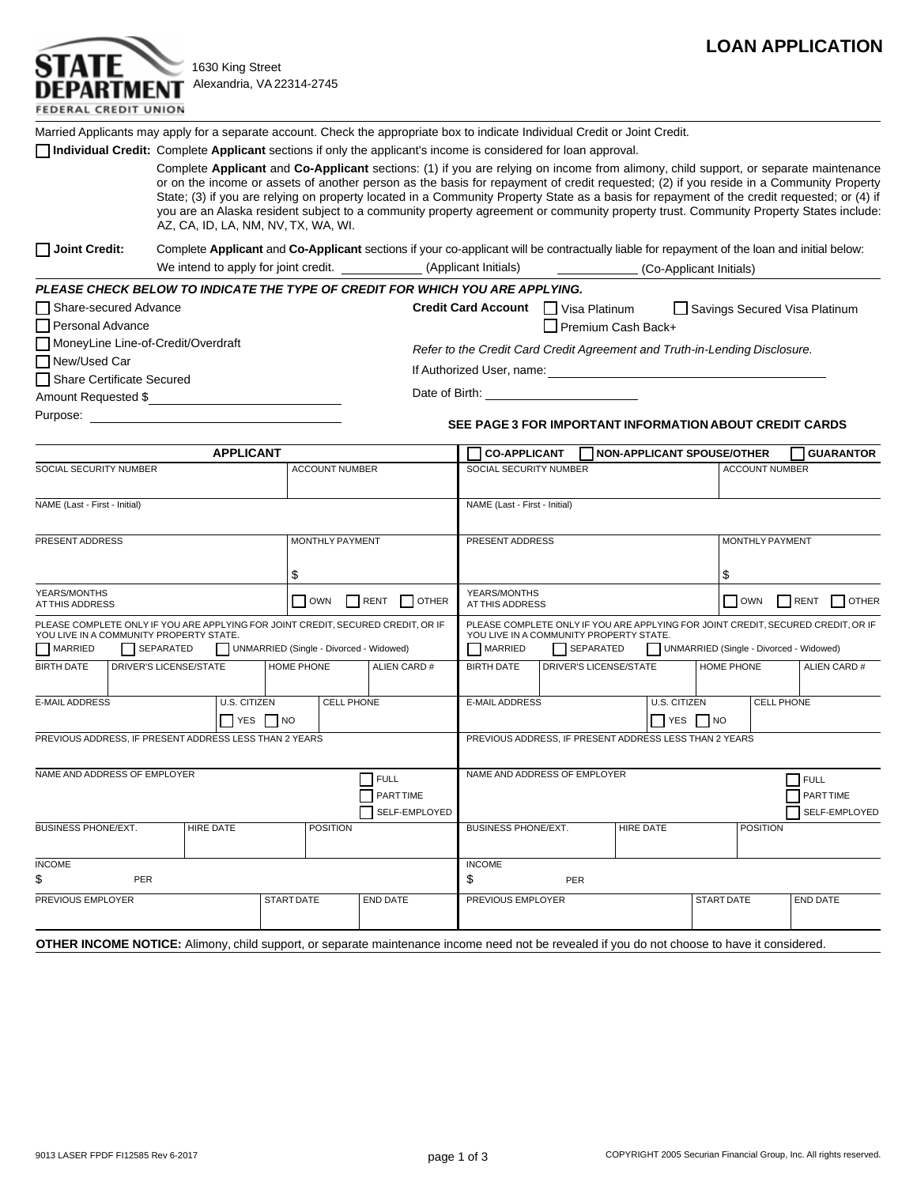

1630 King Street Alexandria, VA 22314-2745

| STATE                       |  |
|-----------------------------|--|
| DEPARTMENT                  |  |
| <b>FEDERAL CREDIT UNION</b> |  |

Married Applicants may apply for a separate account. Check the appropriate box to indicate Individual Credit or Joint Credit.

**Individual Credit:** Complete Applicant sections if only the applicant's income is considered for loan approval.

Complete **Applicant** and **Co-Applicant** sections: (1) if you are relying on income from alimony, child support, or separate maintenance or on the income or assets of another person as the basis for repayment of credit requested; (2) if you reside in a Community Property State; (3) if you are relying on property located in a Community Property State as a basis for repayment of the credit requested; or (4) if you are an Alaska resident subject to a community property agreement or community property trust. Community Property States include: AZ, CA, ID, LA, NM, NV, TX, WA, WI.

**Joint Credit:** Complete **Applicant** and **Co-Applicant** sections if your co-applicant will be contractually liable for repayment of the loan and initial below: We intend to apply for joint credit. \_\_\_\_\_\_\_\_\_\_\_\_\_(Applicant Initials) \_\_\_\_\_\_\_\_\_\_\_(Co-Applicant Initials)

| PLEASE CHECK BELOW TO INDICATE THE TYPE OF CREDIT FOR WHICH YOU ARE APPLYING. |                                                                            |                    |                               |  |  |  |  |
|-------------------------------------------------------------------------------|----------------------------------------------------------------------------|--------------------|-------------------------------|--|--|--|--|
| Share-secured Advance                                                         | Credit Card Account Visa Platinum                                          |                    | Savings Secured Visa Platinum |  |  |  |  |
| Personal Advance                                                              |                                                                            | Premium Cash Back+ |                               |  |  |  |  |
| MoneyLine Line-of-Credit/Overdraft                                            | Refer to the Credit Card Credit Agreement and Truth-in-Lending Disclosure. |                    |                               |  |  |  |  |
| New/Used Car                                                                  |                                                                            |                    |                               |  |  |  |  |
| Share Certificate Secured                                                     | If Authorized User, name:                                                  |                    |                               |  |  |  |  |
| Amount Requested \$                                                           | Date of Birth:                                                             |                    |                               |  |  |  |  |
| Purpose:                                                                      |                                                                            |                    |                               |  |  |  |  |

## **SEE PAGE 3 FOR IMPORTANT INFORMATION ABOUT CREDIT CARDS**

| <b>APPLICANT</b>                                                                   |                                                                   |                                                                                  |                                         | <b>CO-APPLICANT</b><br><b>NON-APPLICANT SPOUSE/OTHER</b>                    |                               |                                                |                 | <b>GUARANTOR</b>                                                                                                                                    |                                         |                 |              |
|------------------------------------------------------------------------------------|-------------------------------------------------------------------|----------------------------------------------------------------------------------|-----------------------------------------|-----------------------------------------------------------------------------|-------------------------------|------------------------------------------------|-----------------|-----------------------------------------------------------------------------------------------------------------------------------------------------|-----------------------------------------|-----------------|--------------|
| <b>SOCIAL SECURITY NUMBER</b>                                                      |                                                                   |                                                                                  |                                         | <b>ACCOUNT NUMBER</b>                                                       |                               | SOCIAL SECURITY NUMBER                         |                 | <b>ACCOUNT NUMBER</b>                                                                                                                               |                                         |                 |              |
| NAME (Last - First - Initial)                                                      |                                                                   |                                                                                  |                                         |                                                                             | NAME (Last - First - Initial) |                                                |                 |                                                                                                                                                     |                                         |                 |              |
| PRESENT ADDRESS                                                                    |                                                                   |                                                                                  |                                         | <b>MONTHLY PAYMENT</b>                                                      |                               |                                                | PRESENT ADDRESS |                                                                                                                                                     |                                         | MONTHLY PAYMENT |              |
| \$<br>YEARS/MONTHS                                                                 |                                                                   |                                                                                  |                                         | \$<br>YEARS/MONTHS                                                          |                               |                                                |                 |                                                                                                                                                     |                                         |                 |              |
| AT THIS ADDRESS                                                                    |                                                                   |                                                                                  | <b>OWN</b>                              |                                                                             | RENT OTHER                    | RENT<br><b>OWN</b><br>OTHER<br>AT THIS ADDRESS |                 |                                                                                                                                                     |                                         |                 |              |
|                                                                                    | YOU LIVE IN A COMMUNITY PROPERTY STATE.                           | PLEASE COMPLETE ONLY IF YOU ARE APPLYING FOR JOINT CREDIT, SECURED CREDIT, OR IF |                                         |                                                                             |                               |                                                |                 | PLEASE COMPLETE ONLY IF YOU ARE APPLYING FOR JOINT CREDIT, SECURED CREDIT, OR IF<br>YOU LIVE IN A COMMUNITY PROPERTY STATE.                         |                                         |                 |              |
| MARRIED                                                                            | SEPARATED                                                         |                                                                                  | UNMARRIED (Single - Divorced - Widowed) |                                                                             |                               | MARRIED                                        | SEPARATED       |                                                                                                                                                     | UNMARRIED (Single - Divorced - Widowed) |                 |              |
| <b>BIRTH DATE</b>                                                                  | DRIVER'S LICENSE/STATE                                            |                                                                                  | HOME PHONE                              |                                                                             | ALIEN CARD #                  | <b>BIRTH DATE</b>                              |                 | <b>DRIVER'S LICENSE/STATE</b>                                                                                                                       | HOME PHONE                              |                 | ALIEN CARD # |
| <b>E-MAIL ADDRESS</b><br>U.S. CITIZEN<br><b>CELL PHONE</b><br>$\Box$ YES $\Box$ NO |                                                                   |                                                                                  |                                         | CELL PHONE<br><b>E-MAIL ADDRESS</b><br>U.S. CITIZEN<br>$\Box$ YES $\Box$ NO |                               |                                                |                 |                                                                                                                                                     |                                         |                 |              |
|                                                                                    |                                                                   | PREVIOUS ADDRESS, IF PRESENT ADDRESS LESS THAN 2 YEARS                           |                                         |                                                                             |                               |                                                |                 | PREVIOUS ADDRESS, IF PRESENT ADDRESS LESS THAN 2 YEARS                                                                                              |                                         |                 |              |
| NAME AND ADDRESS OF EMPLOYER<br>$7$ FULL<br><b>PARTTIME</b><br>SELF-EMPLOYED       |                                                                   |                                                                                  |                                         | NAME AND ADDRESS OF EMPLOYER<br>FULL<br><b>PARTTIME</b><br>SELF-EMPLOYED    |                               |                                                |                 |                                                                                                                                                     |                                         |                 |              |
|                                                                                    | <b>BUSINESS PHONE/EXT.</b><br><b>POSITION</b><br><b>HIRE DATE</b> |                                                                                  |                                         |                                                                             | <b>BUSINESS PHONE/EXT.</b>    |                                                | HIRE DATE       |                                                                                                                                                     | <b>POSITION</b>                         |                 |              |
| <b>INCOME</b><br>\$                                                                | <b>PER</b>                                                        |                                                                                  |                                         |                                                                             |                               | <b>INCOME</b><br>\$                            | <b>PER</b>      |                                                                                                                                                     |                                         |                 |              |
| PREVIOUS EMPLOYER                                                                  |                                                                   | <b>START DATE</b>                                                                |                                         | <b>END DATE</b>                                                             | PREVIOUS EMPLOYER             |                                                |                 | <b>START DATE</b>                                                                                                                                   |                                         | <b>END DATE</b> |              |
|                                                                                    |                                                                   |                                                                                  |                                         |                                                                             |                               |                                                |                 | <b>OTHER INCOME NOTICE:</b> Alimony, child support, or separate maintenance income need not be revealed if you do not choose to have it considered. |                                         |                 |              |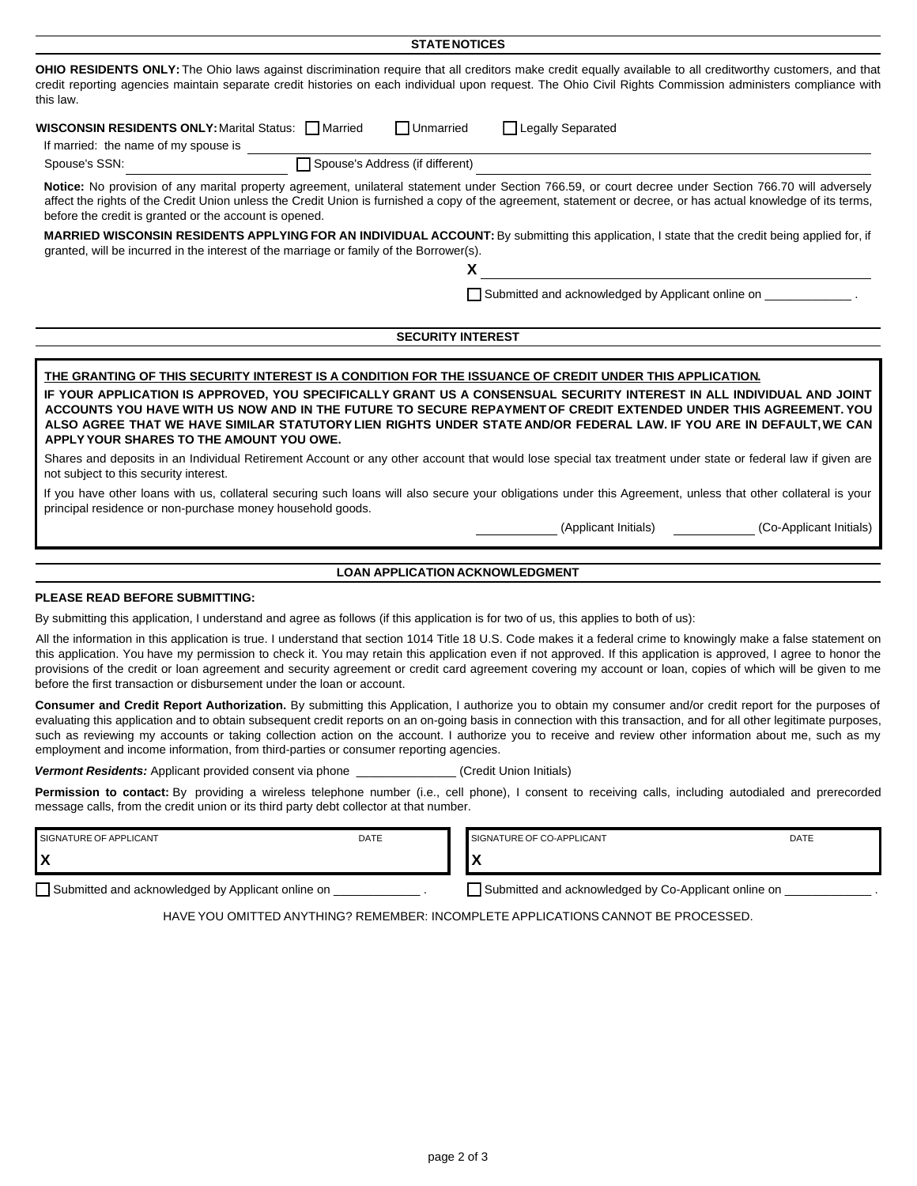|                                                                                                                                                                                                                                                                                                                                                                                                                                                                                                                                                                                                                                                                                                                                                                                                                                                    |      | <b>STATE NOTICES</b>                   |                                                                  |                         |
|----------------------------------------------------------------------------------------------------------------------------------------------------------------------------------------------------------------------------------------------------------------------------------------------------------------------------------------------------------------------------------------------------------------------------------------------------------------------------------------------------------------------------------------------------------------------------------------------------------------------------------------------------------------------------------------------------------------------------------------------------------------------------------------------------------------------------------------------------|------|----------------------------------------|------------------------------------------------------------------|-------------------------|
| OHIO RESIDENTS ONLY: The Ohio laws against discrimination require that all creditors make credit equally available to all creditworthy customers, and that<br>credit reporting agencies maintain separate credit histories on each individual upon request. The Ohio Civil Rights Commission administers compliance with<br>this law.                                                                                                                                                                                                                                                                                                                                                                                                                                                                                                              |      |                                        |                                                                  |                         |
| <b>WISCONSIN RESIDENTS ONLY: Marital Status: Married</b><br>If married: the name of my spouse is                                                                                                                                                                                                                                                                                                                                                                                                                                                                                                                                                                                                                                                                                                                                                   |      | <b>□Unmarried</b>                      | □ Legally Separated                                              |                         |
| Spouse's SSN:                                                                                                                                                                                                                                                                                                                                                                                                                                                                                                                                                                                                                                                                                                                                                                                                                                      |      | Spouse's Address (if different)        |                                                                  |                         |
| Notice: No provision of any marital property agreement, unilateral statement under Section 766.59, or court decree under Section 766.70 will adversely<br>affect the rights of the Credit Union unless the Credit Union is furnished a copy of the agreement, statement or decree, or has actual knowledge of its terms,<br>before the credit is granted or the account is opened.                                                                                                                                                                                                                                                                                                                                                                                                                                                                 |      |                                        |                                                                  |                         |
| MARRIED WISCONSIN RESIDENTS APPLYING FOR AN INDIVIDUAL ACCOUNT: By submitting this application, I state that the credit being applied for, if<br>granted, will be incurred in the interest of the marriage or family of the Borrower(s).                                                                                                                                                                                                                                                                                                                                                                                                                                                                                                                                                                                                           |      | x                                      |                                                                  |                         |
|                                                                                                                                                                                                                                                                                                                                                                                                                                                                                                                                                                                                                                                                                                                                                                                                                                                    |      |                                        | Submitted and acknowledged by Applicant online on _____________. |                         |
|                                                                                                                                                                                                                                                                                                                                                                                                                                                                                                                                                                                                                                                                                                                                                                                                                                                    |      | <b>SECURITY INTEREST</b>               |                                                                  |                         |
|                                                                                                                                                                                                                                                                                                                                                                                                                                                                                                                                                                                                                                                                                                                                                                                                                                                    |      |                                        |                                                                  |                         |
| IF YOUR APPLICATION IS APPROVED, YOU SPECIFICALLY GRANT US A CONSENSUAL SECURITY INTEREST IN ALL INDIVIDUAL AND JOINT<br>ACCOUNTS YOU HAVE WITH US NOW AND IN THE FUTURE TO SECURE REPAYMENT OF CREDIT EXTENDED UNDER THIS AGREEMENT. YOU<br>ALSO AGREE THAT WE HAVE SIMILAR STATUTORY LIEN RIGHTS UNDER STATE AND/OR FEDERAL LAW. IF YOU ARE IN DEFAULT, WE CAN<br>APPLY YOUR SHARES TO THE AMOUNT YOU OWE.<br>Shares and deposits in an Individual Retirement Account or any other account that would lose special tax treatment under state or federal law if given are<br>not subject to this security interest.<br>If you have other loans with us, collateral securing such loans will also secure your obligations under this Agreement, unless that other collateral is your<br>principal residence or non-purchase money household goods. |      |                                        | (Applicant Initials)                                             | (Co-Applicant Initials) |
|                                                                                                                                                                                                                                                                                                                                                                                                                                                                                                                                                                                                                                                                                                                                                                                                                                                    |      | <b>LOAN APPLICATION ACKNOWLEDGMENT</b> |                                                                  |                         |
| <b>PLEASE READ BEFORE SUBMITTING:</b>                                                                                                                                                                                                                                                                                                                                                                                                                                                                                                                                                                                                                                                                                                                                                                                                              |      |                                        |                                                                  |                         |
| By submitting this application, I understand and agree as follows (if this application is for two of us, this applies to both of us):                                                                                                                                                                                                                                                                                                                                                                                                                                                                                                                                                                                                                                                                                                              |      |                                        |                                                                  |                         |
| All the information in this application is true. I understand that section 1014 Title 18 U.S. Code makes it a federal crime to knowingly make a false statement on<br>this application. You have my permission to check it. You may retain this application even if not approved. If this application is approved, I agree to honor the<br>provisions of the credit or loan agreement and security agreement or credit card agreement covering my account or loan, copies of which will be given to me<br>before the first transaction or disbursement under the loan or account.                                                                                                                                                                                                                                                                  |      |                                        |                                                                  |                         |
| Consumer and Credit Report Authorization. By submitting this Application, I authorize you to obtain my consumer and/or credit report for the purposes of<br>evaluating this application and to obtain subsequent credit reports on an on-going basis in connection with this transaction, and for all other legitimate purposes,<br>such as reviewing my accounts or taking collection action on the account. I authorize you to receive and review other information about me, such as my<br>employment and income information, from third-parties or consumer reporting agencies.                                                                                                                                                                                                                                                                |      |                                        |                                                                  |                         |
| <b>Vermont Residents:</b> Applicant provided consent via phone ______                                                                                                                                                                                                                                                                                                                                                                                                                                                                                                                                                                                                                                                                                                                                                                              |      |                                        | (Credit Union Initials)                                          |                         |
| Permission to contact: By providing a wireless telephone number (i.e., cell phone), I consent to receiving calls, including autodialed and prerecorded<br>message calls, from the credit union or its third party debt collector at that number.                                                                                                                                                                                                                                                                                                                                                                                                                                                                                                                                                                                                   |      |                                        |                                                                  |                         |
| <b>CICNATUDE OF ADDUCANT</b>                                                                                                                                                                                                                                                                                                                                                                                                                                                                                                                                                                                                                                                                                                                                                                                                                       | DATE |                                        | SICNATURE OF CO-ARRICANT                                         | <b>DATE</b>             |

| I SIGNATURE OF APPLICANT                          | <b>DATE</b> | SIGNATURE OF CO-APPLICANT                            | DATE |
|---------------------------------------------------|-------------|------------------------------------------------------|------|
|                                                   |             |                                                      |      |
| Submitted and acknowledged by Applicant online on |             | Submitted and acknowledged by Co-Applicant online on |      |

HAVE YOU OMITTED ANYTHING? REMEMBER: INCOMPLETE APPLICATIONS CANNOT BE PROCESSED.